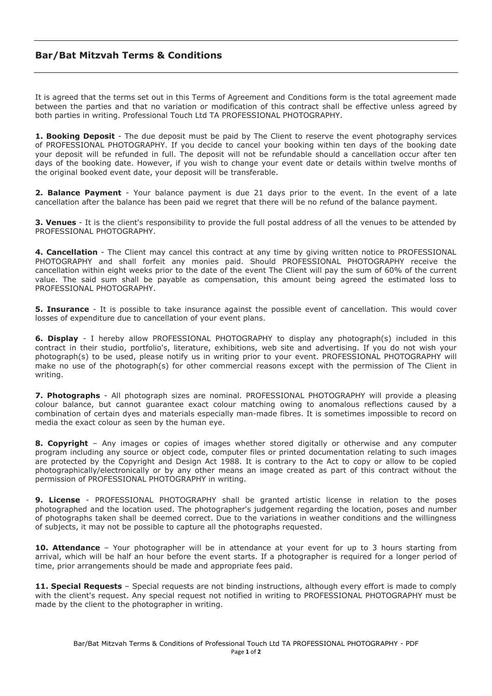## **Bar/Bat Mitzvah Terms & Conditions**

It is agreed that the terms set out in this Terms of Agreement and Conditions form is the total agreement made between the parties and that no variation or modification of this contract shall be effective unless agreed by both parties in writing. Professional Touch Ltd TA PROFESSIONAL PHOTOGRAPHY.

**1. Booking Deposit** - The due deposit must be paid by The Client to reserve the event photography services of PROFESSIONAL PHOTOGRAPHY. If you decide to cancel your booking within ten days of the booking date your deposit will be refunded in full. The deposit will not be refundable should a cancellation occur after ten days of the booking date. However, if you wish to change your event date or details within twelve months of the original booked event date, your deposit will be transferable.

**2. Balance Payment** - Your balance payment is due 21 days prior to the event. In the event of a late cancellation after the balance has been paid we regret that there will be no refund of the balance payment.

**3. Venues** - It is the client's responsibility to provide the full postal address of all the venues to be attended by PROFESSIONAL PHOTOGRAPHY.

**4. Cancellation** - The Client may cancel this contract at any time by giving written notice to PROFESSIONAL PHOTOGRAPHY and shall forfeit any monies paid. Should PROFESSIONAL PHOTOGRAPHY receive the cancellation within eight weeks prior to the date of the event The Client will pay the sum of 60% of the current value. The said sum shall be payable as compensation, this amount being agreed the estimated loss to PROFESSIONAL PHOTOGRAPHY.

**5. Insurance** - It is possible to take insurance against the possible event of cancellation. This would cover losses of expenditure due to cancellation of your event plans.

**6. Display** - I hereby allow PROFESSIONAL PHOTOGRAPHY to display any photograph(s) included in this contract in their studio, portfolio's, literature, exhibitions, web site and advertising. If you do not wish your photograph(s) to be used, please notify us in writing prior to your event. PROFESSIONAL PHOTOGRAPHY will make no use of the photograph(s) for other commercial reasons except with the permission of The Client in writing.

**7. Photographs** - All photograph sizes are nominal. PROFESSIONAL PHOTOGRAPHY will provide a pleasing colour balance, but cannot guarantee exact colour matching owing to anomalous reflections caused by a combination of certain dyes and materials especially man-made fibres. It is sometimes impossible to record on media the exact colour as seen by the human eye.

**8. Copyright** – Any images or copies of images whether stored digitally or otherwise and any computer program including any source or object code, computer files or printed documentation relating to such images are protected by the Copyright and Design Act 1988. It is contrary to the Act to copy or allow to be copied photographically/electronically or by any other means an image created as part of this contract without the permission of PROFESSIONAL PHOTOGRAPHY in writing.

**9. License** - PROFESSIONAL PHOTOGRAPHY shall be granted artistic license in relation to the poses photographed and the location used. The photographer's judgement regarding the location, poses and number of photographs taken shall be deemed correct. Due to the variations in weather conditions and the willingness of subjects, it may not be possible to capture all the photographs requested.

**10. Attendance** – Your photographer will be in attendance at your event for up to 3 hours starting from arrival, which will be half an hour before the event starts. If a photographer is required for a longer period of time, prior arrangements should be made and appropriate fees paid.

**11. Special Requests** – Special requests are not binding instructions, although every effort is made to comply with the client's request. Any special request not notified in writing to PROFESSIONAL PHOTOGRAPHY must be made by the client to the photographer in writing.